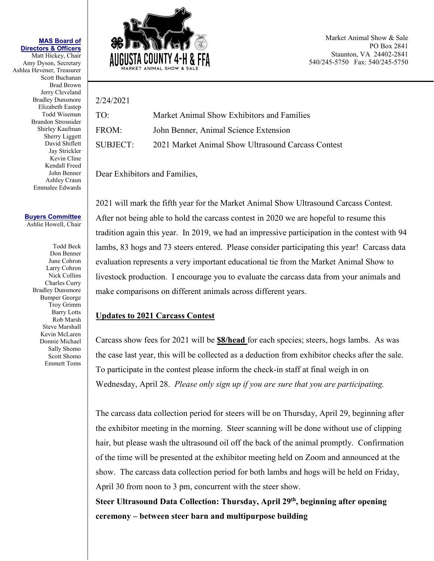## **MAS Board of Directors & Officers**

Matt Hickey, Chair Amy Dyson, Secretary Ashlea Hevener, Treasurer Scott Buchanan Brad Brown Jerry Cleveland Bradley Dunsmore Elizabeth Eastep Todd Wiseman Brandon Strosnider Shirley Kaufman Sherry Liggett David Shiflett Jay Strickler Kevin Cline Kendall Freed John Benner Ashley Craun Emmalee Edwards

## **Buyers Committee** Ashlie Howell, Chair

Todd Beck Don Benner June Cohron Larry Cohron Nick Collins Charles Curry Bradley Dunsmore Bumper George Troy Grimm Barry Lotts Rob Marsh Steve Marshall Kevin McLaren Donnie Michael Sally Shomo Scott Shomo Emmett Toms



Market Animal Show & Sale PO Box 2841 Staunton, VA 24402-2841 540/245-5750 Fax: 540/245-5750

## 2/24/2021 TO: Market Animal Show Exhibitors and Families

| FROM:    | John Benner, Animal Science Extension              |
|----------|----------------------------------------------------|
| SUBJECT: | 2021 Market Animal Show Ultrasound Carcass Contest |

Dear Exhibitors and Families,

2021 will mark the fifth year for the Market Animal Show Ultrasound Carcass Contest. After not being able to hold the carcass contest in 2020 we are hopeful to resume this tradition again this year. In 2019, we had an impressive participation in the contest with 94 lambs, 83 hogs and 73 steers entered. Please consider participating this year! Carcass data evaluation represents a very important educational tie from the Market Animal Show to livestock production. I encourage you to evaluate the carcass data from your animals and make comparisons on different animals across different years.

## **Updates to 2021 Carcass Contest**

Carcass show fees for 2021 will be **\$8/head** for each species; steers, hogs lambs. As was the case last year, this will be collected as a deduction from exhibitor checks after the sale. To participate in the contest please inform the check-in staff at final weigh in on Wednesday, April 28. *Please only sign up if you are sure that you are participating.*

The carcass data collection period for steers will be on Thursday, April 29, beginning after the exhibitor meeting in the morning. Steer scanning will be done without use of clipping hair, but please wash the ultrasound oil off the back of the animal promptly. Confirmation of the time will be presented at the exhibitor meeting held on Zoom and announced at the show. The carcass data collection period for both lambs and hogs will be held on Friday, April 30 from noon to 3 pm, concurrent with the steer show.

**Steer Ultrasound Data Collection: Thursday, April 29th, beginning after opening ceremony – between steer barn and multipurpose building**